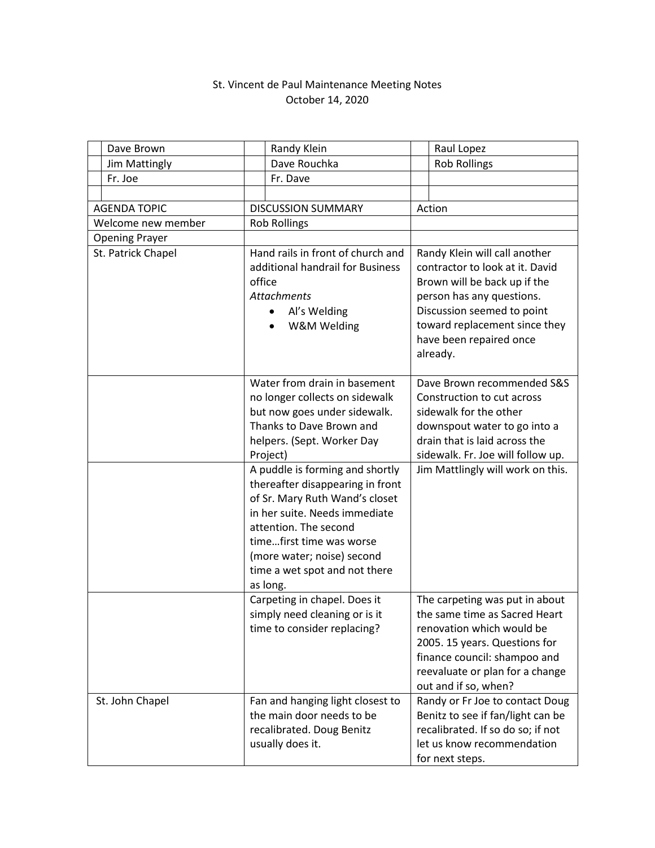## St. Vincent de Paul Maintenance Meeting Notes October 14, 2020

|                       | Dave Brown      |                                                                                                                                      | Randy Klein                                                                                                                                                                                                                                                            |                                                                                                                                                                                                                                     | Raul Lopez                                                                                                                                                                                                               |
|-----------------------|-----------------|--------------------------------------------------------------------------------------------------------------------------------------|------------------------------------------------------------------------------------------------------------------------------------------------------------------------------------------------------------------------------------------------------------------------|-------------------------------------------------------------------------------------------------------------------------------------------------------------------------------------------------------------------------------------|--------------------------------------------------------------------------------------------------------------------------------------------------------------------------------------------------------------------------|
|                       | Jim Mattingly   |                                                                                                                                      | Dave Rouchka                                                                                                                                                                                                                                                           |                                                                                                                                                                                                                                     | <b>Rob Rollings</b>                                                                                                                                                                                                      |
|                       | Fr. Joe         |                                                                                                                                      | Fr. Dave                                                                                                                                                                                                                                                               |                                                                                                                                                                                                                                     |                                                                                                                                                                                                                          |
|                       |                 |                                                                                                                                      |                                                                                                                                                                                                                                                                        |                                                                                                                                                                                                                                     |                                                                                                                                                                                                                          |
| <b>AGENDA TOPIC</b>   |                 |                                                                                                                                      | <b>DISCUSSION SUMMARY</b>                                                                                                                                                                                                                                              |                                                                                                                                                                                                                                     | Action                                                                                                                                                                                                                   |
| Welcome new member    |                 | <b>Rob Rollings</b>                                                                                                                  |                                                                                                                                                                                                                                                                        |                                                                                                                                                                                                                                     |                                                                                                                                                                                                                          |
| <b>Opening Prayer</b> |                 |                                                                                                                                      |                                                                                                                                                                                                                                                                        |                                                                                                                                                                                                                                     |                                                                                                                                                                                                                          |
| St. Patrick Chapel    |                 | Hand rails in front of church and<br>additional handrail for Business<br>office<br><b>Attachments</b><br>Al's Welding<br>W&M Welding |                                                                                                                                                                                                                                                                        | Randy Klein will call another<br>contractor to look at it. David<br>Brown will be back up if the<br>person has any questions.<br>Discussion seemed to point<br>toward replacement since they<br>have been repaired once<br>already. |                                                                                                                                                                                                                          |
|                       |                 |                                                                                                                                      | Water from drain in basement<br>no longer collects on sidewalk<br>but now goes under sidewalk.<br>Thanks to Dave Brown and<br>helpers. (Sept. Worker Day<br>Project)                                                                                                   |                                                                                                                                                                                                                                     | Dave Brown recommended S&S<br>Construction to cut across<br>sidewalk for the other<br>downspout water to go into a<br>drain that is laid across the<br>sidewalk. Fr. Joe will follow up.                                 |
|                       |                 |                                                                                                                                      | A puddle is forming and shortly<br>thereafter disappearing in front<br>of Sr. Mary Ruth Wand's closet<br>in her suite. Needs immediate<br>attention. The second<br>timefirst time was worse<br>(more water; noise) second<br>time a wet spot and not there<br>as long. |                                                                                                                                                                                                                                     | Jim Mattlingly will work on this.                                                                                                                                                                                        |
|                       |                 |                                                                                                                                      | Carpeting in chapel. Does it<br>simply need cleaning or is it<br>time to consider replacing?                                                                                                                                                                           |                                                                                                                                                                                                                                     | The carpeting was put in about<br>the same time as Sacred Heart<br>renovation which would be<br>2005. 15 years. Questions for<br>finance council: shampoo and<br>reevaluate or plan for a change<br>out and if so, when? |
|                       | St. John Chapel |                                                                                                                                      | Fan and hanging light closest to<br>the main door needs to be<br>recalibrated. Doug Benitz<br>usually does it.                                                                                                                                                         |                                                                                                                                                                                                                                     | Randy or Fr Joe to contact Doug<br>Benitz to see if fan/light can be<br>recalibrated. If so do so; if not<br>let us know recommendation<br>for next steps.                                                               |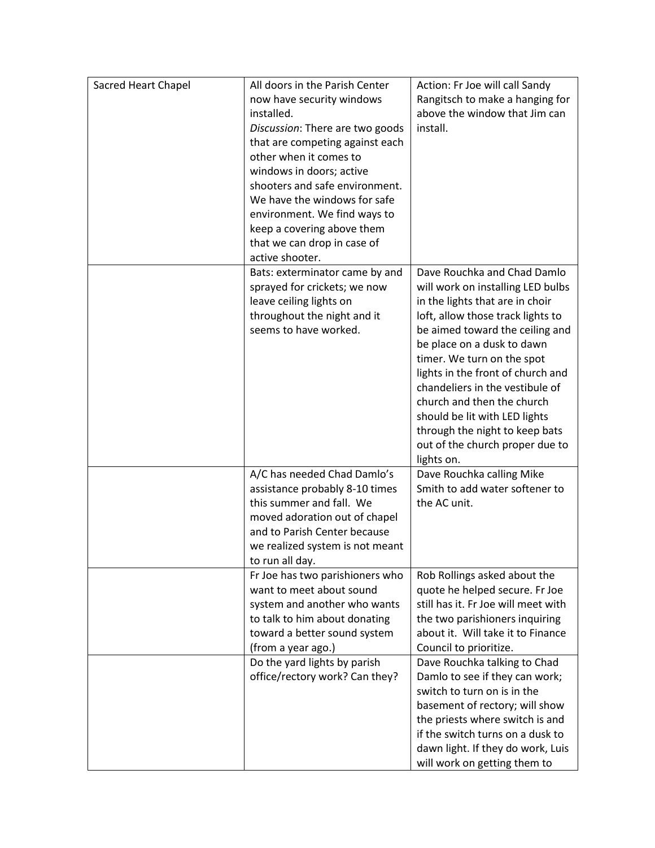| Sacred Heart Chapel | All doors in the Parish Center                       | Action: Fr Joe will call Sandy                                 |
|---------------------|------------------------------------------------------|----------------------------------------------------------------|
|                     | now have security windows                            | Rangitsch to make a hanging for                                |
|                     | installed.                                           | above the window that Jim can                                  |
|                     | Discussion: There are two goods                      | install.                                                       |
|                     | that are competing against each                      |                                                                |
|                     | other when it comes to                               |                                                                |
|                     | windows in doors; active                             |                                                                |
|                     | shooters and safe environment.                       |                                                                |
|                     | We have the windows for safe                         |                                                                |
|                     | environment. We find ways to                         |                                                                |
|                     | keep a covering above them                           |                                                                |
|                     | that we can drop in case of                          |                                                                |
|                     | active shooter.                                      |                                                                |
|                     | Bats: exterminator came by and                       | Dave Rouchka and Chad Damlo                                    |
|                     | sprayed for crickets; we now                         | will work on installing LED bulbs                              |
|                     | leave ceiling lights on                              | in the lights that are in choir                                |
|                     | throughout the night and it<br>seems to have worked. | loft, allow those track lights to                              |
|                     |                                                      | be aimed toward the ceiling and<br>be place on a dusk to dawn  |
|                     |                                                      | timer. We turn on the spot                                     |
|                     |                                                      | lights in the front of church and                              |
|                     |                                                      | chandeliers in the vestibule of                                |
|                     |                                                      | church and then the church                                     |
|                     |                                                      | should be lit with LED lights                                  |
|                     |                                                      | through the night to keep bats                                 |
|                     |                                                      | out of the church proper due to                                |
|                     |                                                      | lights on.                                                     |
|                     | A/C has needed Chad Damlo's                          | Dave Rouchka calling Mike                                      |
|                     | assistance probably 8-10 times                       | Smith to add water softener to                                 |
|                     | this summer and fall. We                             | the AC unit.                                                   |
|                     | moved adoration out of chapel                        |                                                                |
|                     | and to Parish Center because                         |                                                                |
|                     | we realized system is not meant                      |                                                                |
|                     | to run all day.                                      |                                                                |
|                     | Fr Joe has two parishioners who                      | Rob Rollings asked about the                                   |
|                     | want to meet about sound                             | quote he helped secure. Fr Joe                                 |
|                     | system and another who wants                         | still has it. Fr Joe will meet with                            |
|                     | to talk to him about donating                        | the two parishioners inquiring                                 |
|                     | toward a better sound system<br>(from a year ago.)   | about it. Will take it to Finance<br>Council to prioritize.    |
|                     | Do the yard lights by parish                         |                                                                |
|                     | office/rectory work? Can they?                       | Dave Rouchka talking to Chad<br>Damlo to see if they can work; |
|                     |                                                      | switch to turn on is in the                                    |
|                     |                                                      | basement of rectory; will show                                 |
|                     |                                                      | the priests where switch is and                                |
|                     |                                                      | if the switch turns on a dusk to                               |
|                     |                                                      | dawn light. If they do work, Luis                              |
|                     |                                                      | will work on getting them to                                   |